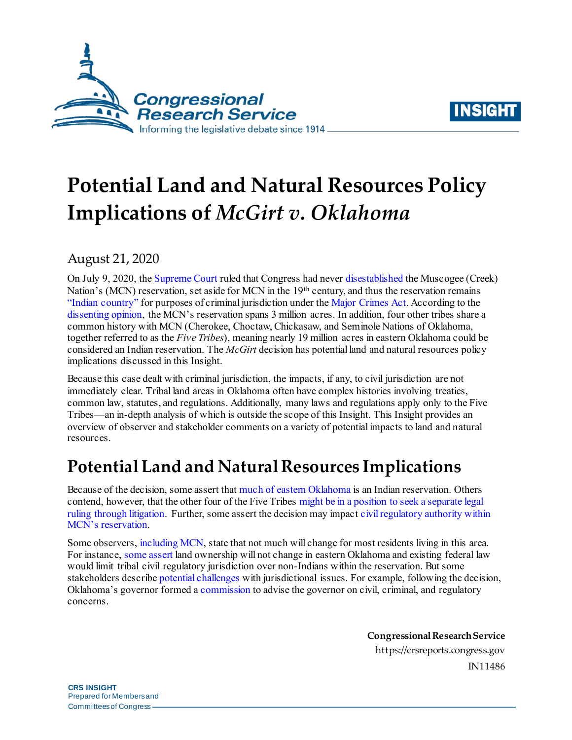



# **Potential Land and Natural Resources Policy Implications of** *McGirt v. Oklahoma*

August 21, 2020

On July 9, 2020, th[e Supreme Court](https://www.supremecourt.gov/opinions/19pdf/18-9526_9okb.pdf) ruled that Congress had neve[r disestablish](https://crsreports.congress.gov/product/pdf/LSB/LSB10527)ed the Muscogee (Creek) Nation's (MCN) reservation, set aside for MCN in the 19th century, and thus the reservation remains ["Indian country"](https://uscode.house.gov/view.xhtml?req=granuleid:USC-prelim-title18-section1151&num=0&edition=prelim) for purposes of criminal jurisdiction under th[e Major Crimes Act.](https://uscode.house.gov/view.xhtml?req=granuleid:USC-prelim-title18-section1153&num=0&edition=prelim) According to the [dissenting opinion,](https://www.supremecourt.gov/opinions/19pdf/18-9526_9okb.pdf#page=46) the MCN's reservation spans 3 million acres. In addition, four other tribes share a common history with MCN (Cherokee, Choctaw, Chickasaw, and Seminole Nations of Oklahoma, together referred to as the *Five Tribes*), meaning nearly 19 million acres in eastern Oklahoma could be considered an Indian reservation. The *McGirt* decision has potential land and natural resources policy implications discussed in this Insight.

Because this case dealt with criminal jurisdiction, the impacts, if any, to civil jurisdiction are not immediately clear. Tribal land areas in Oklahoma often have complex histories involving treaties, common law, statutes, and regulations. Additionally, many laws and regulations apply only to the Five Tribes—an in-depth analysis of which is outside the scope of this Insight. This Insight provides an overview of observer and stakeholder comments on a variety of potential impacts to land and natural resources.

## **Potential Land and Natural Resources Implications**

Because of the decision, some assert that much [of eastern Oklahoma](https://www.nytimes.com/2020/07/09/us/supreme-court-oklahoma-mcgirt-creek-nation.html) is an Indian reservation. Others contend, however, that the other four of the Five Tribe[s might be in a position to seek a separate legal](https://www.bankruptcylawblog.com/muscogee-creek-criminal-jurisdiction.html)  [ruling through litigation.](https://www.bankruptcylawblog.com/muscogee-creek-criminal-jurisdiction.html) Further, some assert the decision may impac[t civil regulatory authority within](https://www.klgates.com/indian-land-then-remains-indian-land-now/)  [MCN's reservation.](https://www.klgates.com/indian-land-then-remains-indian-land-now/)

Some observers[, including MCN,](https://www.supremecourt.gov/DocketPDF/18/18-9526/132680/20200211152306523_Amicus%20Brief%20of%20Muscogee%20Creek%20Nation.pdf#page=52) state that not much will change for most residents living in this area. For instance[, some assert](https://najanewsroom.com/2020/07/08/naja-reporting-guide-u-s-supreme-court-cases-mcgirt-v-oklahoma-and-sharp-v-murphy/) land ownership will not change in eastern Oklahoma and existing federal law would limit tribal civil regulatory jurisdiction over non-Indians within the reservation. But some stakeholders describ[e potential challenges](https://www.supremecourt.gov/DocketPDF/18/18-9526/138118/20200313143331033_18-9526bs.pdf) with jurisdictional issues. For example, following the decision, Oklahoma's governor formed [a commission](https://www.governor.ok.gov/articles/press_releases/governor-stitt-forms-commission-to-advise-state) to advise the governor on civil, criminal, and regulatory concerns.

> **Congressional ResearchService** https://crsreports.congress.gov IN11486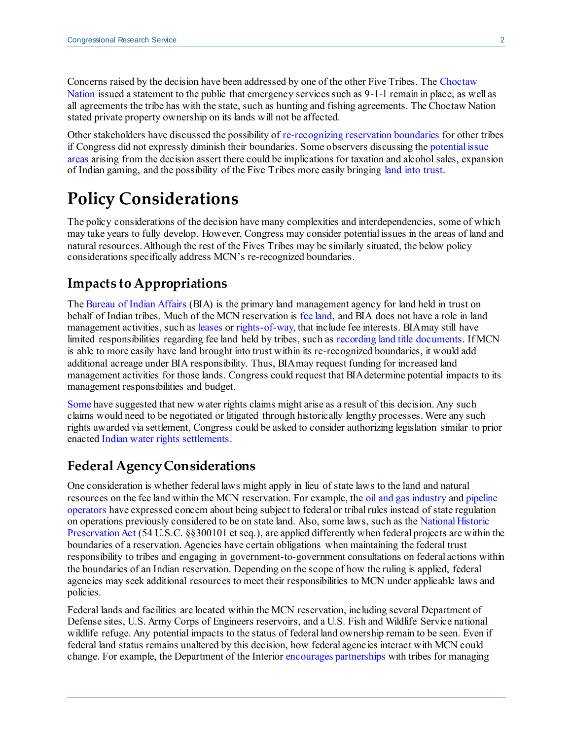Concerns raised by the decision have been addressed by one of the other Five Tribes. Th[e Choctaw](https://www.choctawnation.com/mcgirt-vs-oklahoma)  [Nation](https://www.choctawnation.com/mcgirt-vs-oklahoma) issued a statement to the public that emergency services such as 9-1-1 remain in place, as well as all agreements the tribe has with the state, such as hunting and fishing agreements. The Choctaw Nation stated private property ownership on its lands will not be affected.

Other stakeholders have discussed the possibility of [re-recognizing reservation boundaries](https://www.azcentral.com/story/news/local/arizona/2020/07/11/supreme-court-ruling-expanded-tribal-land-what-does-mean-arizona/5410782002/) for other tribes if Congress did not expressly diminish their boundaries. Some observers discussing th[e potential issue](https://www.law360.com/articles/1292799)  [areas](https://www.law360.com/articles/1292799) arising from the decision assert there could be implications for taxation and alcohol sales, expansion of Indian gaming, and the possibility of the Five Tribes more easily bringing [land into trust](https://www.bia.gov/bia/ots/fee-to-trust).

### **Policy Considerations**

The policy considerations of the decision have many complexities and interdependencies, some of which may take years to fully develop. However, Congress may consider potential issues in the areas of land and natural resources. Although the rest of the Fives Tribes may be similarly situated, the below policy considerations specifically address MCN's re-recognized boundaries.

#### **Impacts to Appropriations**

The [Bureau of Indian Affairs](https://www.bia.gov/) (BIA) is the primary land management agency for land held in trust on behalf of Indian tribes. Much of the MCN reservation is [fee land,](https://www.bia.gov/sites/bia.gov/files/assets/public/raca/handbook/pdf/Acquisition_of_Title_to_Land_Held_in_Fee_or_Restricted_Fee_Status_50_OIMT.pdf#page=5) and BIA does not have a role in land management activities, such a[s leases](https://www.ecfr.gov/cgi-bin/text-idx?SID=e240cdec78e0a7b2c3119ac514fc7b83&mc=true&node=se25.1.162_1004&rgn=div8) o[r rights-of-way](https://www.ecfr.gov/cgi-bin/text-idx?SID=e240cdec78e0a7b2c3119ac514fc7b83&mc=true&node=se25.1.169_13&rgn=div8), that include fee interests. BIA may still have limited responsibilities regarding fee land held by tribes, such a[s recording land title](https://www.bia.gov/sites/bia.gov/files/assets/public/raca/manual/pdf/51IAM2RecordingandCustodyofLandTitleDocuments4-30-2012.pdf) documents. If MCN is able to more easily have land brought into trust within its re-recognized boundaries, it would add additional acreage under BIA responsibility. Thus, BIA may request funding for increased land management activities for those lands. Congress could request that BIA determine potential impacts to its management responsibilities and budget.

[Some](https://www.jdsupra.com/legalnews/does-mcgirt-cede-oklahoma-waters-to-13937/) have suggested that new water rights claims might arise as a result of this decision. Any such claims would need to be negotiated or litigated through historically lengthy processes. Were any such rights awarded via settlement, Congress could be asked to consider authorizing legislation similar to prior enacte[d Indian water rights settlements.](https://crsreports.congress.gov/product/pdf/R/R44148)

#### **Federal Agency Considerations**

One consideration is whether federal laws might apply in lieu of state laws to the land and natural resources on the fee land within the MCN reservation. For example, th[e oil and gas industry](https://www.eenews.net/stories/1063536563) an[d pipeline](https://www.washingtonpost.com/business/2020/07/17/supreme-court-oklahoma-oil-/)  [operators](https://www.washingtonpost.com/business/2020/07/17/supreme-court-oklahoma-oil-/) have expressed concern about being subject to federal or tribal rules instead of state regulation on operations previously considered to be on state land. Also, some laws, such as th[e National Historic](https://crsreports.congress.gov/product/pdf/R/R45800)  [Preservation Act](https://crsreports.congress.gov/product/pdf/R/R45800) (54 U.S.C. §§300101 et seq.), are applied differently when federal projects are within the boundaries of a reservation. Agencies have certain obligations when maintaining the federal trust responsibility to tribes and engaging in government-to-government consultations on federal actions within the boundaries of an Indian reservation. Depending on the scope of how the ruling is applied, federal agencies may seek additional resources to meet their responsibilities to MCN under applicable laws and policies.

Federal lands and facilities are located within the MCN reservation, including several Department of Defense sites, U.S. Army Corps of Engineers reservoirs, and a U.S. Fish and Wildlife Service national wildlife refuge. Any potential impacts to the status of federal land ownership remain to be seen. Even if federal land status remains unaltered by this decision, how federal agencies interact with MCN could change. For example, the Department of the Interior [encourages partnerships](https://www.doi.gov/sites/doi.gov/files/elips/documents/3342%20-%20Identifying%20Opportunities%20for%20Cooperative%20and%20Collaborative%20Partnerships%20with%20Federally%20Recognized%20Indian%20Tribes%20in%20the%20Management%20of%20Federal%20Lands%20and%20Resources.pdf) with tribes for managing